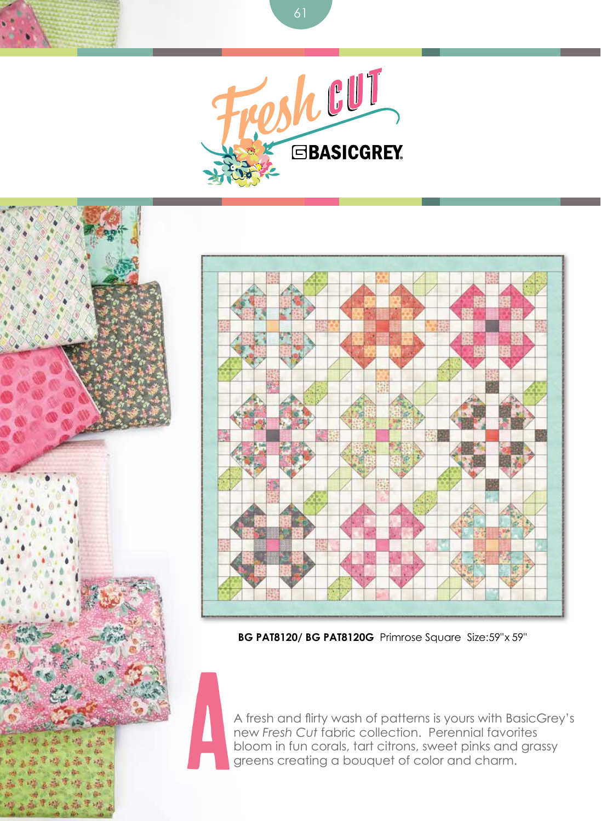

61



**BG PAT8120/ BG PAT8120G** Primrose Square Size:59"x 59"

a A fresh and flirty wash of patterns is yours with BasicGrey's new *Fresh Cut* fabric collection. Perennial favorites bloom in fun corals, tart citrons, sweet pinks and grassy greens creating a bouquet of color and charm.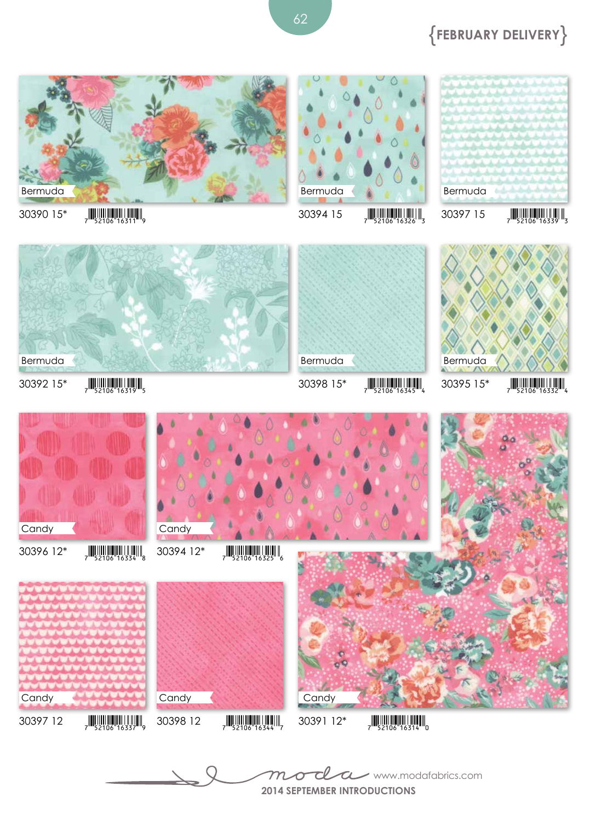**2014 September Introductions** www.modafabrics.com



30392 15\*  $\frac{15}{7}$   $\frac{15}{52106}$  16319 Bermuda  $30398$  15\*  $\frac{15}{7}$   $\frac{15}{52106}$  16345

Bermuda



30390 15\*  $\frac{1}{7}$   $\frac{1}{52106}$  16311







## {**February Delivery**}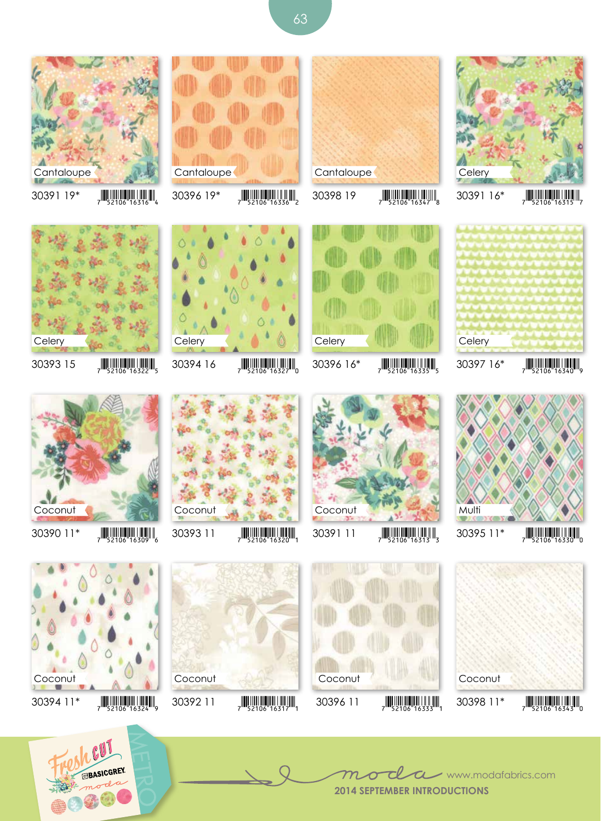



 $30394$  16  $\frac{1}{7}$   $\frac{1}{52106}$  16327<sup>m</sup><sub>0</sub>



30398 19  $\frac{1}{7}$   $\frac{1}{52106}$  16347<sup>W</sup><sub>8</sub>

**Cantaloupe** 















































 $30393$  15  $\frac{1}{7}$   $\frac{1}{52106}$  16322

 $30394$  11\*  $\frac{152106}{16324}$ 

**Cantaloupe** 

**Celery** 

Coconut











**2014 September Introductions** www.modafabrics.com